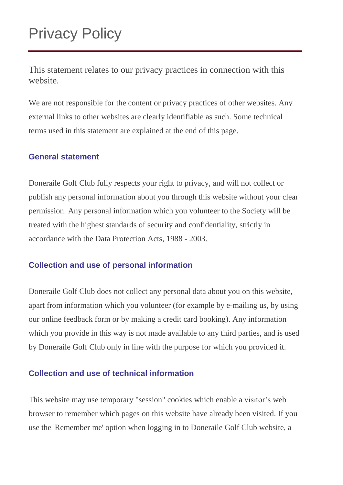# Privacy Policy

This statement relates to our privacy practices in connection with this website.

We are not responsible for the content or privacy practices of other websites. Any external links to other websites are clearly identifiable as such. Some technical terms used in this statement are explained at the end of this page.

## **General statement**

Doneraile Golf Club fully respects your right to privacy, and will not collect or publish any personal information about you through this website without your clear permission. Any personal information which you volunteer to the Society will be treated with the highest standards of security and confidentiality, strictly in accordance with the Data Protection Acts, 1988 - 2003.

# **Collection and use of personal information**

Doneraile Golf Club does not collect any personal data about you on this website, apart from information which you volunteer (for example by e-mailing us, by using our online feedback form or by making a credit card booking). Any information which you provide in this way is not made available to any third parties, and is used by Doneraile Golf Club only in line with the purpose for which you provided it.

# **Collection and use of technical information**

This website may use temporary "session" cookies which enable a visitor's web browser to remember which pages on this website have already been visited. If you use the 'Remember me' option when logging in to Doneraile Golf Club website, a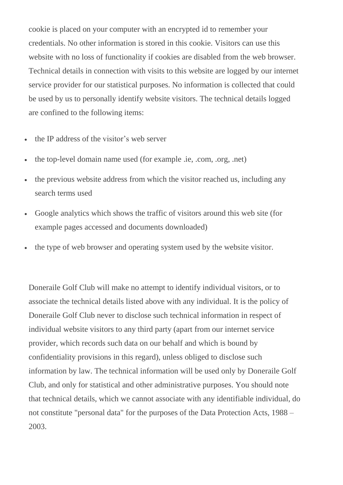cookie is placed on your computer with an encrypted id to remember your credentials. No other information is stored in this cookie. Visitors can use this website with no loss of functionality if cookies are disabled from the web browser. Technical details in connection with visits to this website are logged by our internet service provider for our statistical purposes. No information is collected that could be used by us to personally identify website visitors. The technical details logged are confined to the following items:

- the IP address of the visitor's web server
- the top-level domain name used (for example .ie, .com, .org, .net)
- the previous website address from which the visitor reached us, including any search terms used
- Google analytics which shows the traffic of visitors around this web site (for example pages accessed and documents downloaded)
- the type of web browser and operating system used by the website visitor.

Doneraile Golf Club will make no attempt to identify individual visitors, or to associate the technical details listed above with any individual. It is the policy of Doneraile Golf Club never to disclose such technical information in respect of individual website visitors to any third party (apart from our internet service provider, which records such data on our behalf and which is bound by confidentiality provisions in this regard), unless obliged to disclose such information by law. The technical information will be used only by Doneraile Golf Club, and only for statistical and other administrative purposes. You should note that technical details, which we cannot associate with any identifiable individual, do not constitute "personal data" for the purposes of the Data Protection Acts, 1988 – 2003.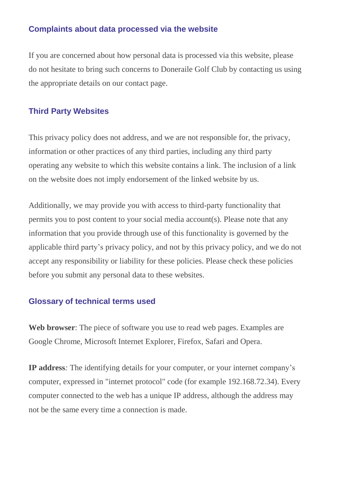## **Complaints about data processed via the website**

If you are concerned about how personal data is processed via this website, please do not hesitate to bring such concerns to Doneraile Golf Club by contacting us using the appropriate details on our contact page.

#### **Third Party Websites**

This privacy policy does not address, and we are not responsible for, the privacy, information or other practices of any third parties, including any third party operating any website to which this website contains a link. The inclusion of a link on the website does not imply endorsement of the linked website by us.

Additionally, we may provide you with access to third-party functionality that permits you to post content to your social media account(s). Please note that any information that you provide through use of this functionality is governed by the applicable third party's privacy policy, and not by this privacy policy, and we do not accept any responsibility or liability for these policies. Please check these policies before you submit any personal data to these websites.

#### **Glossary of technical terms used**

**Web browser**: The piece of software you use to read web pages. Examples are Google Chrome, Microsoft Internet Explorer, Firefox, Safari and Opera.

**IP address***:* The identifying details for your computer, or your internet company's computer, expressed in "internet protocol" code (for example 192.168.72.34). Every computer connected to the web has a unique IP address, although the address may not be the same every time a connection is made.